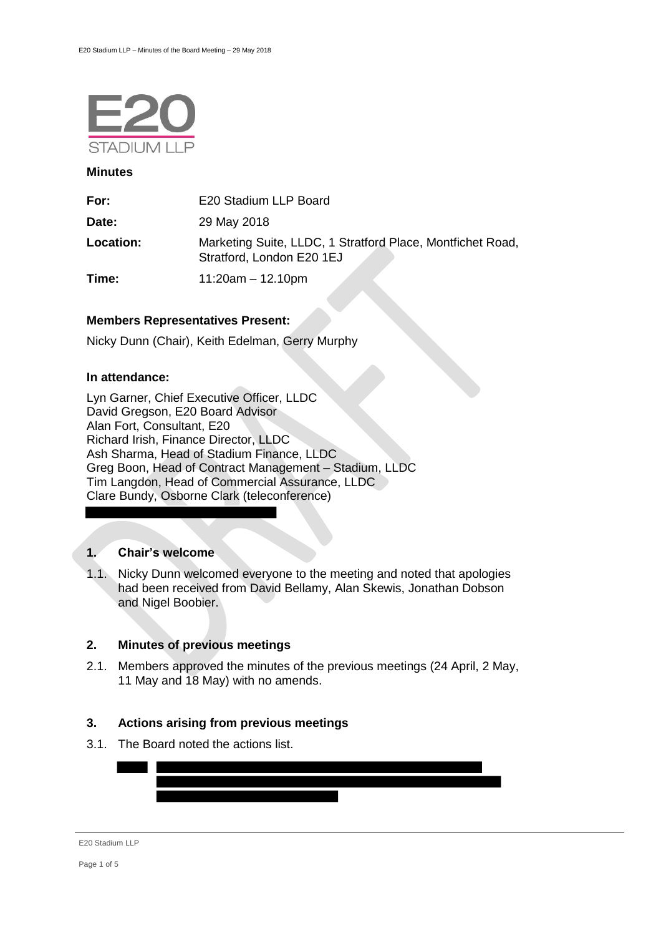

### **Minutes**

| For:      | E20 Stadium LLP Board                                                                   |
|-----------|-----------------------------------------------------------------------------------------|
| Date:     | 29 May 2018                                                                             |
| Location: | Marketing Suite, LLDC, 1 Stratford Place, Montfichet Road,<br>Stratford, London E20 1EJ |
| Time:     | $11:20am - 12.10pm$                                                                     |

#### **Members Representatives Present:**

Nicky Dunn (Chair), Keith Edelman, Gerry Murphy

#### **In attendance:**

Lyn Garner, Chief Executive Officer, LLDC David Gregson, E20 Board Advisor Alan Fort, Consultant, E20 Richard Irish, Finance Director, LLDC Ash Sharma, Head of Stadium Finance, LLDC Greg Boon, Head of Contract Management – Stadium, LLDC Tim Langdon, Head of Commercial Assurance, LLDC Clare Bundy, Osborne Clark (teleconference)

## **1. Chair's welcome**

1.1. Nicky Dunn welcomed everyone to the meeting and noted that apologies had been received from David Bellamy, Alan Skewis, Jonathan Dobson and Nigel Boobier.

#### **2. Minutes of previous meetings**

2.1. Members approved the minutes of the previous meetings (24 April, 2 May, 11 May and 18 May) with no amends.

#### **3. Actions arising from previous meetings**

3.1. The Board noted the actions list.

| E20 Stadium LLP |  |
|-----------------|--|
|                 |  |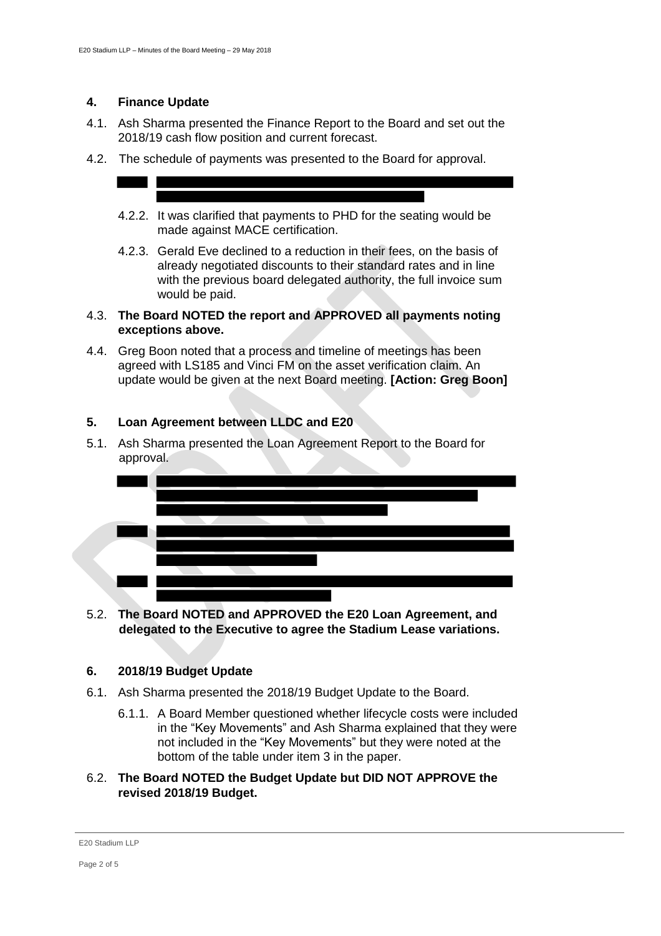## **4. Finance Update**

- 4.1. Ash Sharma presented the Finance Report to the Board and set out the 2018/19 cash flow position and current forecast.
- 4.2. The schedule of payments was presented to the Board for approval.
	- 4.2.2. It was clarified that payments to PHD for the seating would be made against MACE certification.
	- 4.2.3. Gerald Eve declined to a reduction in their fees, on the basis of already negotiated discounts to their standard rates and in line with the previous board delegated authority, the full invoice sum would be paid.

## 4.3. **The Board NOTED the report and APPROVED all payments noting exceptions above.**

4.4. Greg Boon noted that a process and timeline of meetings has been agreed with LS185 and Vinci FM on the asset verification claim. An update would be given at the next Board meeting. **[Action: Greg Boon]**

# **5. Loan Agreement between LLDC and E20**

5.1. Ash Sharma presented the Loan Agreement Report to the Board for approval.



5.2. **The Board NOTED and APPROVED the E20 Loan Agreement, and delegated to the Executive to agree the Stadium Lease variations.**

# **6. 2018/19 Budget Update**

- 6.1. Ash Sharma presented the 2018/19 Budget Update to the Board.
	- 6.1.1. A Board Member questioned whether lifecycle costs were included in the "Key Movements" and Ash Sharma explained that they were not included in the "Key Movements" but they were noted at the bottom of the table under item 3 in the paper.

## 6.2. **The Board NOTED the Budget Update but DID NOT APPROVE the revised 2018/19 Budget.**

#### E20 Stadium LLP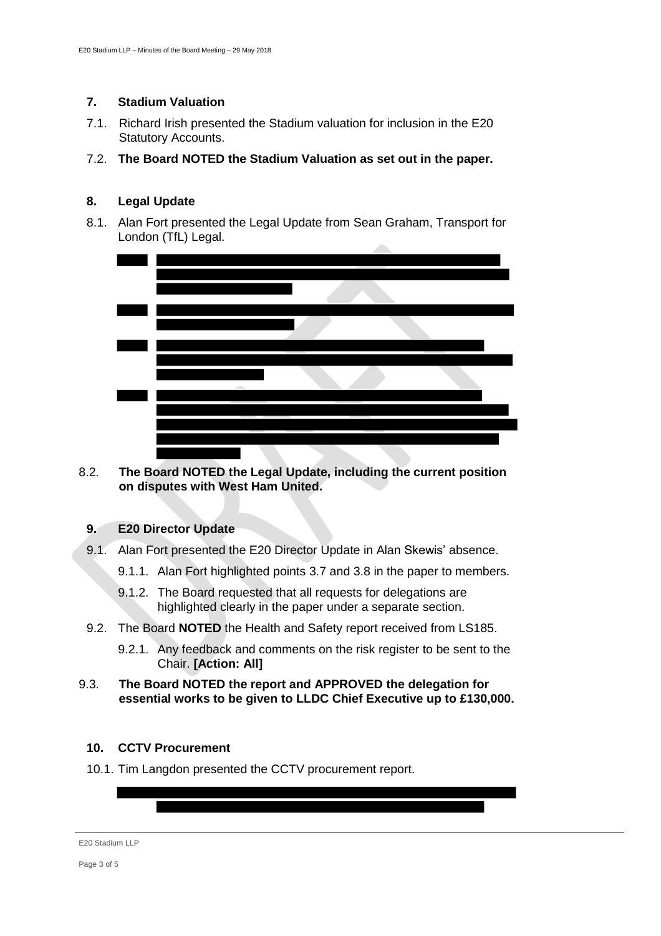## **7. Stadium Valuation**

- 7.1. Richard Irish presented the Stadium valuation for inclusion in the E20 Statutory Accounts.
- 7.2. **The Board NOTED the Stadium Valuation as set out in the paper.**

# **8. Legal Update**

8.1. Alan Fort presented the Legal Update from Sean Graham, Transport for London (TfL) Legal.



8.2. **The Board NOTED the Legal Update, including the current position on disputes with West Ham United.**

## **9. E20 Director Update**

- 9.1. Alan Fort presented the E20 Director Update in Alan Skewis' absence.
	- 9.1.1. Alan Fort highlighted points 3.7 and 3.8 in the paper to members.
	- 9.1.2. The Board requested that all requests for delegations are highlighted clearly in the paper under a separate section.
- 9.2. The Board **NOTED** the Health and Safety report received from LS185.
	- 9.2.1. Any feedback and comments on the risk register to be sent to the Chair. **[Action: All]**
- 9.3. **The Board NOTED the report and APPROVED the delegation for essential works to be given to LLDC Chief Executive up to £130,000.**

# **10. CCTV Procurement**

10.1. Tim Langdon presented the CCTV procurement report.

E20 Stadium LLP